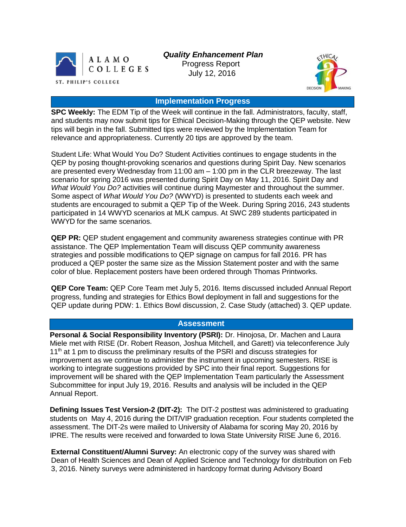

 *Quality Enhancement Plan*

 Progress Report July 12, 2016



## **Implementation Progress**

**SPC Weekly:** The EDM Tip of the Week will continue in the fall. Administrators, faculty, staff, and students may now submit tips for Ethical Decision-Making through the QEP website. New tips will begin in the fall. Submitted tips were reviewed by the Implementation Team for relevance and appropriateness. Currently 20 tips are approved by the team.

Student Life: What Would You Do? Student Activities continues to engage students in the QEP by posing thought-provoking scenarios and questions during Spirit Day. New scenarios are presented every Wednesday from 11:00 am – 1:00 pm in the CLR breezeway. The last scenario for spring 2016 was presented during Spirit Day on May 11, 2016. Spirit Day and *What Would You Do?* activities will continue during Maymester and throughout the summer. Some aspect of *What Would You Do?* (WWYD) is presented to students each week and students are encouraged to submit a QEP Tip of the Week. During Spring 2016, 243 students participated in 14 WWYD scenarios at MLK campus. At SWC 289 students participated in WWYD for the same scenarios.

**QEP PR:** QEP student engagement and community awareness strategies continue with PR assistance. The QEP Implementation Team will discuss QEP community awareness strategies and possible modifications to QEP signage on campus for fall 2016. PR has produced a QEP poster the same size as the Mission Statement poster and with the same color of blue. Replacement posters have been ordered through Thomas Printworks.

**QEP Core Team:** QEP Core Team met July 5, 2016. Items discussed included Annual Report progress, funding and strategies for Ethics Bowl deployment in fall and suggestions for the QEP update during PDW: 1. Ethics Bowl discussion, 2. Case Study (attached) 3. QEP update.

## **Assessment**

**Personal & Social Responsibility Inventory (PSRI):** Dr. Hinojosa, Dr. Machen and Laura Miele met with RISE (Dr. Robert Reason, Joshua Mitchell, and Garett) via teleconference July 11<sup>th</sup> at 1 pm to discuss the preliminary results of the PSRI and discuss strategies for improvement as we continue to administer the instrument in upcoming semesters. RISE is working to integrate suggestions provided by SPC into their final report. Suggestions for improvement will be shared with the QEP Implementation Team particularly the Assessment Subcommittee for input July 19, 2016. Results and analysis will be included in the QEP Annual Report.

**Defining Issues Test Version-2 (DIT-2):** The DIT-2 posttest was administered to graduating students on May 4, 2016 during the DIT/VIP graduation reception. Four students completed the assessment. The DIT-2s were mailed to University of Alabama for scoring May 20, 2016 by IPRE. The results were received and forwarded to Iowa State University RISE June 6, 2016.

**External Constituent/Alumni Survey:** An electronic copy of the survey was shared with Dean of Health Sciences and Dean of Applied Science and Technology for distribution on Feb 3, 2016. Ninety surveys were administered in hardcopy format during Advisory Board